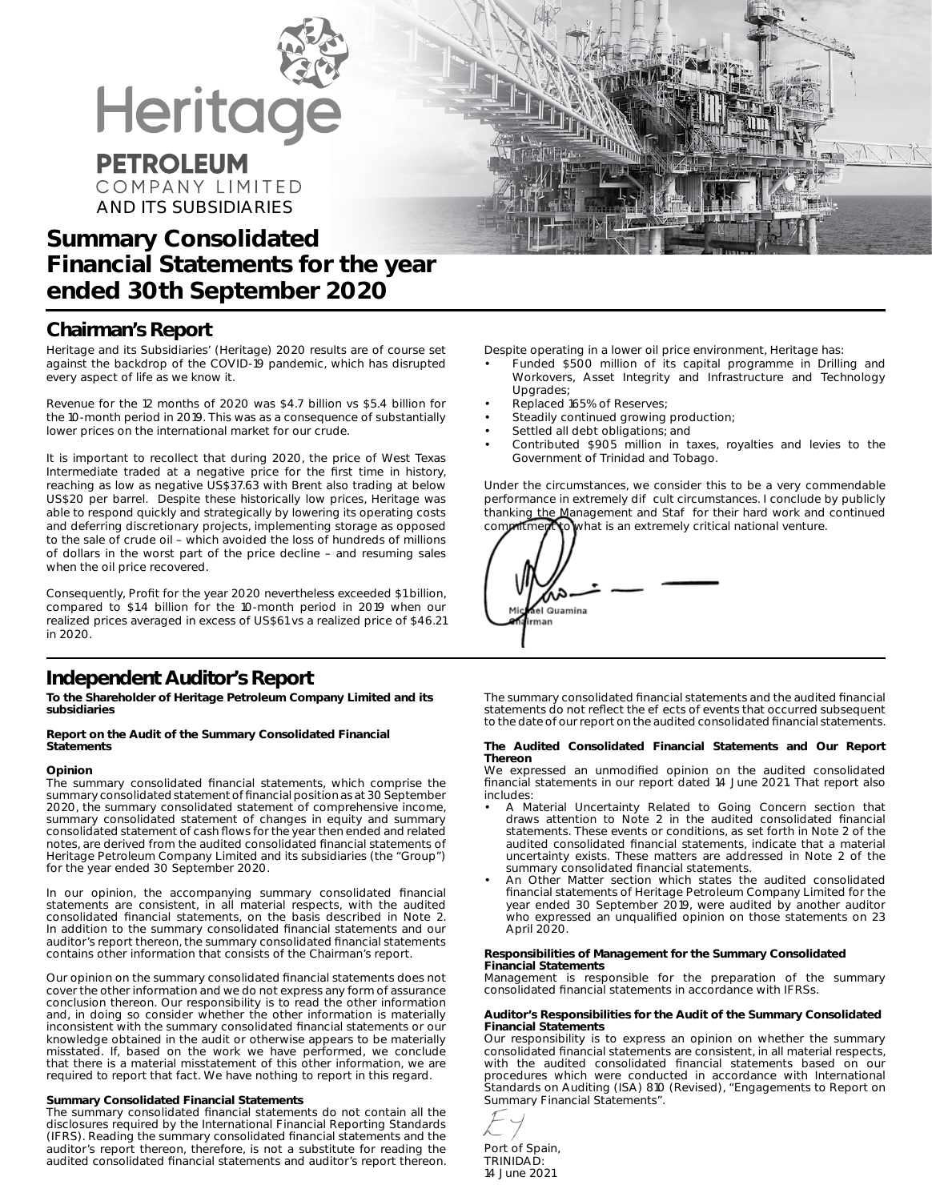

## **Chairman's Report**

Heritage and its Subsidiaries' (Heritage) 2020 results are of course set against the backdrop of the COVID-19 pandemic, which has disrupted every aspect of life as we know it.

Revenue for the 12 months of 2020 was \$4.7 billion vs \$5.4 billion for the 10-month period in 2019. This was as a consequence of substantially lower prices on the international market for our crude.

It is important to recollect that during 2020, the price of West Texas Intermediate traded at a negative price for the first time in history, reaching as low as negative US\$37.63 with Brent also trading at below US\$20 per barrel. Despite these historically low prices, Heritage was able to respond quickly and strategically by lowering its operating costs and deferring discretionary projects, implementing storage as opposed to the sale of crude oil – which avoided the loss of hundreds of millions of dollars in the worst part of the price decline – and resuming sales when the oil price recovered.

Consequently, Profit for the year 2020 nevertheless exceeded \$1 billion, compared to \$1.4 billion for the 10-month period in 2019 when our realized prices averaged in excess of US\$61 vs a realized price of \$46.21 in 2020.

### **Independent Auditor's Report**

**To the Shareholder of Heritage Petroleum Company Limited and its subsidiaries**

#### **Report on the Audit of the Summary Consolidated Financial Statements**

#### **Opinion**

The summary consolidated financial statements, which comprise the summary consolidated statement of financial position as at 30 September 2020, the summary consolidated statement of comprehensive income, summary consolidated statement of changes in equity and summary consolidated statement of cash flows for the year then ended and related notes, are derived from the audited consolidated financial statements of Heritage Petroleum Company Limited and its subsidiaries (the "Group") for the year ended 30 September 2020.

In our opinion, the accompanying summary consolidated financial statements are consistent, in all material respects, with the audited consolidated financial statements, on the basis described in Note 2. In addition to the summary consolidated financial statements and our auditor's report thereon, the summary consolidated financial statements contains other information that consists of the Chairman's report.

Our opinion on the summary consolidated financial statements does not cover the other information and we do not express any form of assurance conclusion thereon. Our responsibility is to read the other information and, in doing so consider whether the other information is materially inconsistent with the summary consolidated financial statements or our knowledge obtained in the audit or otherwise appears to be materially misstated. If, based on the work we have performed, we conclude that there is a material misstatement of this other information, we are required to report that fact. We have nothing to report in this regard.

#### **Summary Consolidated Financial Statements**

The summary consolidated financial statements do not contain all the disclosures required by the International Financial Reporting Standards (IFRS). Reading the summary consolidated financial statements and the auditor's report thereon, therefore, is not a substitute for reading the audited consolidated financial statements and auditor's report thereon.

Despite operating in a lower oil price environment, Heritage has:

- Funded \$500 million of its capital programme in Drilling and Workovers, Asset Integrity and Infrastructure and Technology **Upgrades**
- Replaced 165% of Reserves;
- Steadily continued growing production;
- Settled all debt obligations; and
- Contributed \$905 million in taxes, royalties and levies to the Government of Trinidad and Tobago.

Under the circumstances, we consider this to be a very commendable performance in extremely di cult circumstances. I conclude by publicly thanking the Management and Sta for their hard work and continued commitment to what is an extremely critical national venture.

| sel Quamina<br>Mic<br>man |
|---------------------------|
|---------------------------|

The summary consolidated financial statements and the audited financial statements do not reflect the e ects of events that occurred subsequent to the date of our report on the audited consolidated financial statements.

#### **The Audited Consolidated Financial Statements and Our Report Thereon**

We expressed an unmodified opinion on the audited consolidated financial statements in our report dated 14 June 2021. That report also includes:

- *A Material Uncertainty Related to Going Concern* section that draws attention to Note 2 in the audited consolidated financial statements. These events or conditions, as set forth in Note 2 of the audited consolidated financial statements, indicate that a material uncertainty exists. These matters are addressed in Note 2 of the summary consolidated financial statements.
- *An Other Matter* section which states the audited consolidated financial statements of Heritage Petroleum Company Limited for the year ended 30 September 2019, were audited by another auditor who expressed an unqualified opinion on those statements on 23 April 2020.

#### **Responsibilities of Management for the Summary Consolidated Financial Statements**

Management is responsible for the preparation of the summary consolidated financial statements in accordance with IFRSs.

#### **Auditor's Responsibilities for the Audit of the Summary Consolidated Financial Statements**

Our responsibility is to express an opinion on whether the summary consolidated financial statements are consistent, in all material respects, with the audited consolidated financial statements based on our procedures which were conducted in accordance with International Standards on Auditing (ISA) 810 (Revised), *"Engagements to Report on Summary Financial Statements".*



Port of Spain, TRINIDAD: 14 June 2021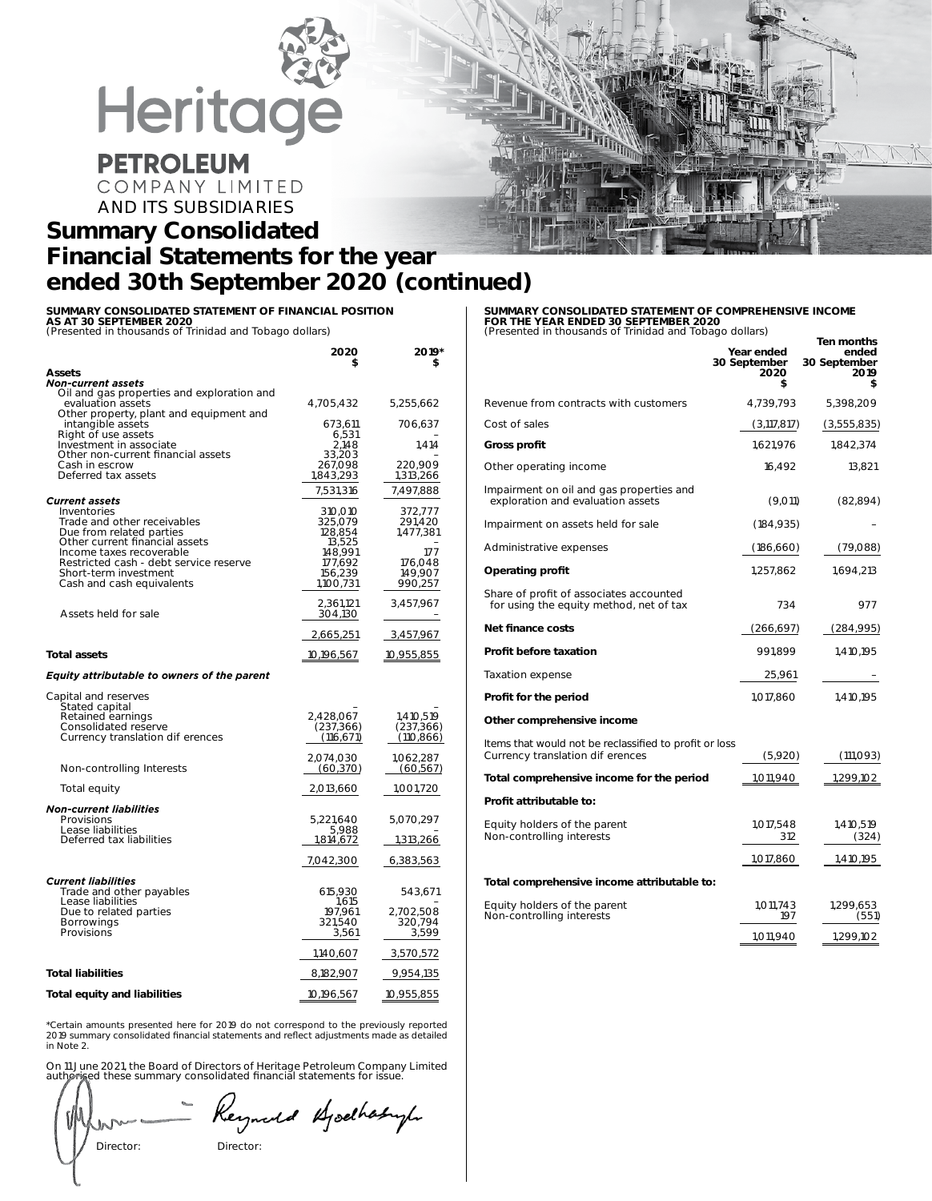

# **PETROLEUM**

COMPANY LIMITED AND ITS SUBSIDIARIES

## **Summary Consolidated Financial Statements for the year ended 30th September 2020 (continued)**

**SUMMARY CONSOLIDATED STATEMENT OF FINANCIAL POSITION AS AT 30 SEPTEMBER 2020** *(Presented in thousands of Trinidad and Tobago dollars)*

|                                                                                                                                                                                                                                      | 2020<br>\$                                                                            | 2019*<br>\$                                                             |
|--------------------------------------------------------------------------------------------------------------------------------------------------------------------------------------------------------------------------------------|---------------------------------------------------------------------------------------|-------------------------------------------------------------------------|
| <b>Assets</b>                                                                                                                                                                                                                        |                                                                                       |                                                                         |
| Non-current assets<br>Oil and gas properties and exploration and<br>evaluation assets<br>Other property, plant and equipment and                                                                                                     | 4,705,432                                                                             | 5,255,662                                                               |
| intangible assets<br>Right of use assets                                                                                                                                                                                             | 673,611<br>6,531                                                                      | 706,637                                                                 |
| Investment in associate<br>Other non-current financial assets<br>Cash in escrow                                                                                                                                                      | 2,148<br>33,203<br>267,098                                                            | 1.414<br>220,909                                                        |
| Deferred tax assets                                                                                                                                                                                                                  | 1,843,293                                                                             | 1,313,266                                                               |
| <b>Current assets</b>                                                                                                                                                                                                                | 7,531,316                                                                             | 7,497,888                                                               |
| Inventories<br>Trade and other receivables<br>Due from related parties<br>Other current financial assets<br>Income taxes recoverable<br>Restricted cash - debt service reserve<br>Short-term investment<br>Cash and cash equivalents | 310,010<br>325,079<br>128.854<br>13,525<br>148,991<br>177,692<br>156,239<br>1,100,731 | 372,777<br>291,420<br>1,477,381<br>177<br>176,048<br>149,907<br>990,257 |
| Assets held for sale                                                                                                                                                                                                                 | 2,361,121<br>304,130                                                                  | 3,457,967                                                               |
|                                                                                                                                                                                                                                      | 2,665,251                                                                             | 3,457,967                                                               |
| <b>Total assets</b>                                                                                                                                                                                                                  | 10,196,567                                                                            | 10,955,855                                                              |
| <b>Equity attributable to owners of the parent</b>                                                                                                                                                                                   |                                                                                       |                                                                         |
| Capital and reserves<br>Stated capital<br>Retained earnings<br>Consolidated reserve<br>Currency translation di erences                                                                                                               | 2,428,067<br>(237, 366)<br>(116, 671)                                                 | 1,410,519<br>(237, 366)<br>(110, 866)                                   |
| Non-controlling Interests                                                                                                                                                                                                            | 2,074,030<br>(60, 370)                                                                | 1.062.287<br>(60, 567)                                                  |
| Total equity                                                                                                                                                                                                                         | 2,013,660                                                                             | 1,001,720                                                               |
| <b>Non-current liabilities</b>                                                                                                                                                                                                       |                                                                                       |                                                                         |
| Provisions<br>Lease liabilities                                                                                                                                                                                                      | 5,221,640<br>5,988                                                                    | 5,070,297                                                               |
| Deferred tax liabilities                                                                                                                                                                                                             | 1,814,672                                                                             | 1,313,266                                                               |
|                                                                                                                                                                                                                                      | 7,042,300                                                                             | 6,383,563                                                               |
| <b>Current liabilities</b><br>Trade and other payables<br>Lease liabilities<br>Due to related parties<br><b>Borrowings</b><br>Provisions                                                                                             | 615,930<br>1,615<br>197,961<br>321,540<br>3,561                                       | 543,671<br>2,702,508<br>320,794<br>3,599                                |
|                                                                                                                                                                                                                                      | 1,140,607                                                                             | 3,570,572                                                               |
| <b>Total liabilities</b>                                                                                                                                                                                                             | 8,182,907                                                                             | 9,954,135                                                               |
| <b>Total equity and liabilities</b>                                                                                                                                                                                                  | 10,196,567                                                                            | 10,955,855                                                              |

\*Certain amounts presented here for 2019 do not correspond to the previously reported 2019 summary consolidated financial statements and reflect adjustments made as detailed in Note 2.

On 11 June 2021, the Board of Directors of Heritage Petroleum Company Limited authorised these summary consolidated financial statements for issue.

# Director:

Reynald Bjockhabyle

#### **SUMMARY CONSOLIDATED STATEMENT OF COMPREHENSIVE INCOME FOR THE YEAR ENDED 30 SEPTEMBER 2020**

| (Presented in thousands of Trinidad and Tobago dollars)<br>Ten months                     |                                          |                                     |  |  |
|-------------------------------------------------------------------------------------------|------------------------------------------|-------------------------------------|--|--|
|                                                                                           | Year ended<br>30 September<br>2020<br>\$ | ended<br>30 September<br>2019<br>\$ |  |  |
| Revenue from contracts with customers                                                     | 4,739,793                                | 5,398,209                           |  |  |
| Cost of sales                                                                             | (3,117,817)                              | (3,555,835)                         |  |  |
| Gross profit                                                                              | 1,621,976                                | 1,842,374                           |  |  |
| Other operating income                                                                    | 16,492                                   | 13,821                              |  |  |
| Impairment on oil and gas properties and<br>exploration and evaluation assets             | (9,011)                                  | (82, 894)                           |  |  |
| Impairment on assets held for sale                                                        | (184, 935)                               |                                     |  |  |
| Administrative expenses                                                                   | (186, 660)                               | (79,088)                            |  |  |
| <b>Operating profit</b>                                                                   | 1,257,862                                | 1,694,213                           |  |  |
| Share of profit of associates accounted<br>for using the equity method, net of tax        | 734                                      | 977                                 |  |  |
| Net finance costs                                                                         | (266,697)                                | (284,995)                           |  |  |
| <b>Profit before taxation</b>                                                             | 991.899                                  | 1,410,195                           |  |  |
| Taxation expense                                                                          | 25,961                                   |                                     |  |  |
| Profit for the period                                                                     | 1,017,860                                | 1,410,195                           |  |  |
| Other comprehensive income                                                                |                                          |                                     |  |  |
| Items that would not be reclassified to profit or loss<br>Currency translation di erences | (5,920)                                  | (111,093)                           |  |  |
|                                                                                           |                                          |                                     |  |  |

| Currency translation di erences                           | (5,920)          | (111,093)          |
|-----------------------------------------------------------|------------------|--------------------|
| Total comprehensive income for the period                 | 1,011,940        | 1,299,102          |
| Profit attributable to:                                   |                  |                    |
| Equity holders of the parent<br>Non-controlling interests | 1,017,548<br>312 | 1,410,519<br>(324) |
|                                                           | 1,017,860        | 1,410,195          |
| Total comprehensive income attributable to:               |                  |                    |
| Equity holders of the parent<br>Non-controlling interests | 1.011.743<br>197 | 1,299,653<br>(551) |
|                                                           | 1.011.940        | 1,299,102          |

| Director: |  |
|-----------|--|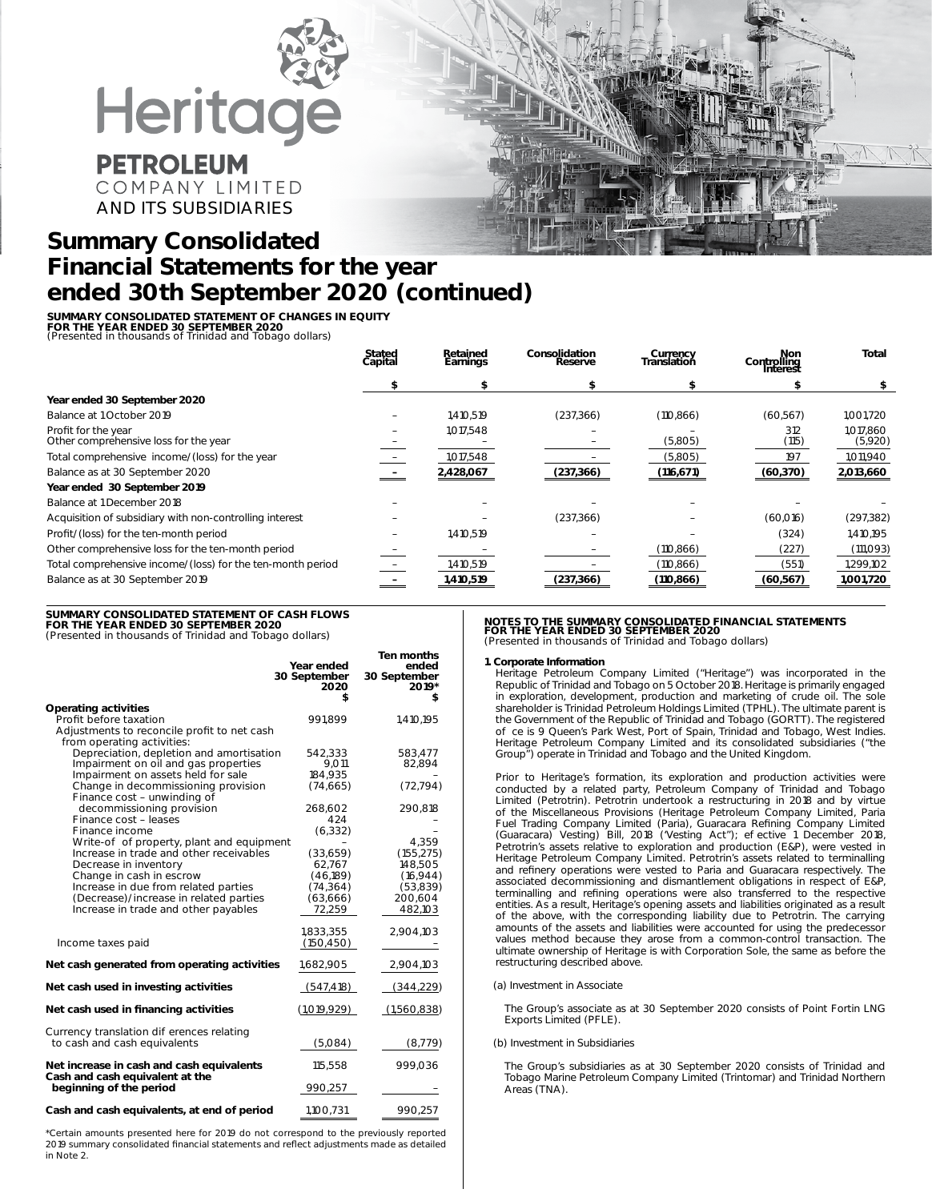

COMPANY LIMITED AND ITS SUBSIDIARIES

## **Summary Consolidated Financial Statements for the year ended 30th September 2020 (continued)**

**SUMMARY CONSOLIDATED STATEMENT OF CHANGES IN EQUITY**

**FOR THE YEAR ENDED 30 SEPTEMBER 2020** *(Presented in thousands of Trinidad and Tobago dollars)*

|                                                              | Stated<br>Capital | Retained<br>Earnings | Consolidation<br>Reserve | Currency<br>Translation | Non<br>Controlling<br>Interest | <b>Total</b>         |
|--------------------------------------------------------------|-------------------|----------------------|--------------------------|-------------------------|--------------------------------|----------------------|
|                                                              |                   |                      |                          |                         |                                | \$                   |
| Year ended 30 September 2020                                 |                   |                      |                          |                         |                                |                      |
| Balance at 1 October 2019                                    |                   | 1,410,519            | (237, 366)               | (110, 866)              | (60, 567)                      | 1,001,720            |
| Profit for the year<br>Other comprehensive loss for the year |                   | 1,017,548            |                          | (5,805)                 | 312<br>(115)                   | 1.017.860<br>(5,920) |
| Total comprehensive income/(loss) for the year               |                   | 1,017,548            |                          | (5,805)                 | 197                            | 1,011,940            |
| Balance as at 30 September 2020                              |                   | 2,428,067            | (237, 366)               | (116, 671)              | (60, 370)                      | 2,013,660            |
| Year ended 30 September 2019                                 |                   |                      |                          |                         |                                |                      |
| Balance at 1 December 2018                                   |                   |                      |                          |                         |                                |                      |
| Acquisition of subsidiary with non-controlling interest      |                   |                      | (237, 366)               |                         | (60,016)                       | (297, 382)           |
| Profit/(loss) for the ten-month period                       |                   | 1,410,519            |                          |                         | (324)                          | 1,410,195            |
| Other comprehensive loss for the ten-month period            |                   |                      |                          | (110, 866)              | (227)                          | (111,093)            |
| Total comprehensive income/(loss) for the ten-month period   |                   | 1,410,519            |                          | (110, 866)              | (551)                          | 1,299,102            |
| Balance as at 30 September 2019                              |                   | 1,410,519            | (237, 366)               | (110, 866)              | (60, 567)                      | 1,001,720            |

**SUMMARY CONSOLIDATED STATEMENT OF CASH FLOWS FOR THE YEAR ENDED 30 SEPTEMBER 2020**

*(Presented in thousands of Trinidad and Tobago dollars)*

|                                                                                | Year ended<br>30 September<br>2020<br>\$ | Ten months<br>ended<br>30 September<br>2019*<br>\$ |
|--------------------------------------------------------------------------------|------------------------------------------|----------------------------------------------------|
| <b>Operating activities</b><br>Profit before taxation                          | 991.899                                  | 1,410,195                                          |
| Adjustments to reconcile profit to net cash<br>from operating activities:      |                                          |                                                    |
| Depreciation, depletion and amortisation                                       | 542,333                                  | 583,477                                            |
| Impairment on oil and gas properties<br>Impairment on assets held for sale     | 9.011<br>184,935                         | 82,894                                             |
| Change in decommissioning provision<br>Finance cost - unwinding of             | (74, 665)                                | (72, 794)                                          |
| decommissioning provision                                                      | 268,602                                  | 290,818                                            |
| Finance cost - leases<br>Finance income                                        | 424                                      |                                                    |
| Write-o of property, plant and equipment                                       | (6, 332)                                 | 4,359                                              |
| Increase in trade and other receivables                                        | (33,659)                                 | (155, 275)                                         |
| Decrease in inventory                                                          | 62,767                                   | 148,505                                            |
| Change in cash in escrow                                                       | (46,189)                                 | (16, 944)                                          |
| Increase in due from related parties                                           | (74, 364)                                | (53,839)                                           |
| (Decrease)/increase in related parties<br>Increase in trade and other payables | (63, 666)<br>72,259                      | 200,604<br>482,103                                 |
|                                                                                |                                          |                                                    |
| Income taxes paid                                                              | 1,833,355<br>(150, 450)                  | 2,904,103                                          |
| Net cash generated from operating activities                                   | 1,682,905                                | 2,904,103                                          |
| Net cash used in investing activities                                          | (547, 418)                               | (344, 229)                                         |
| Net cash used in financing activities                                          | (1,019,929)                              | (1,560,838)                                        |
| Currency translation di erences relating<br>to cash and cash equivalents       | (5,084)                                  | (8, 779)                                           |
| Net increase in cash and cash equivalents                                      | 115,558                                  | 999,036                                            |
| Cash and cash equivalent at the<br>beginning of the period                     | 990,257                                  |                                                    |
| Cash and cash equivalents, at end of period                                    | 1,100,731                                | 990,257                                            |

\*Certain amounts presented here for 2019 do not correspond to the previously reported 2019 summary consolidated financial statements and reflect adjustments made as detailed in Note 2.

#### **NOTES TO THE SUMMARY CONSOLIDATED FINANCIAL STATEMENTS FOR THE YEAR ENDED 30 SEPTEMBER 2020** *(Presented in thousands of Trinidad and Tobago dollars)*

#### **1. Corporate Information**

Heritage Petroleum Company Limited ("Heritage") was incorporated in the Republic of Trinidad and Tobago on 5 October 2018. Heritage is primarily engaged in exploration, development, production and marketing of crude oil. The sole shareholder is Trinidad Petroleum Holdings Limited (TPHL). The ultimate parent is the Government of the Republic of Trinidad and Tobago (GORTT). The registered o ce is 9 Queen's Park West, Port of Spain, Trinidad and Tobago, West Indies. Heritage Petroleum Company Limited and its consolidated subsidiaries ("the Group") operate in Trinidad and Tobago and the United Kingdom.

Prior to Heritage's formation, its exploration and production activities were conducted by a related party, Petroleum Company of Trinidad and Tobago Limited (Petrotrin). Petrotrin undertook a restructuring in 2018 and by virtue of the Miscellaneous Provisions (Heritage Petroleum Company Limited, Paria Fuel Trading Company Limited (Paria), Guaracara Refining Company Limited (Guaracara) Vesting) Bill, 2018 ('Vesting Act"); e ective 1 December 2018, Petrotrin's assets relative to exploration and production (E&P), were vested in Heritage Petroleum Company Limited. Petrotrin's assets related to terminalling and refinery operations were vested to Paria and Guaracara respectively. The associated decommissioning and dismantlement obligations in respect of E&P, terminalling and refining operations were also transferred to the respective entities. As a result, Heritage's opening assets and liabilities originated as a result of the above, with the corresponding liability due to Petrotrin. The carrying amounts of the assets and liabilities were accounted for using the predecessor values method because they arose from a common-control transaction. The ultimate ownership of Heritage is with Corporation Sole, the same as before the restructuring described above.

#### (a) *Investment in Associate*

The Group's associate as at 30 September 2020 consists of Point Fortin LNG Exports Limited (PFLE).

#### (b) *Investment in Subsidiaries*

The Group's subsidiaries as at 30 September 2020 consists of Trinidad and Tobago Marine Petroleum Company Limited (Trintomar) and Trinidad Northern Areas (TNA).